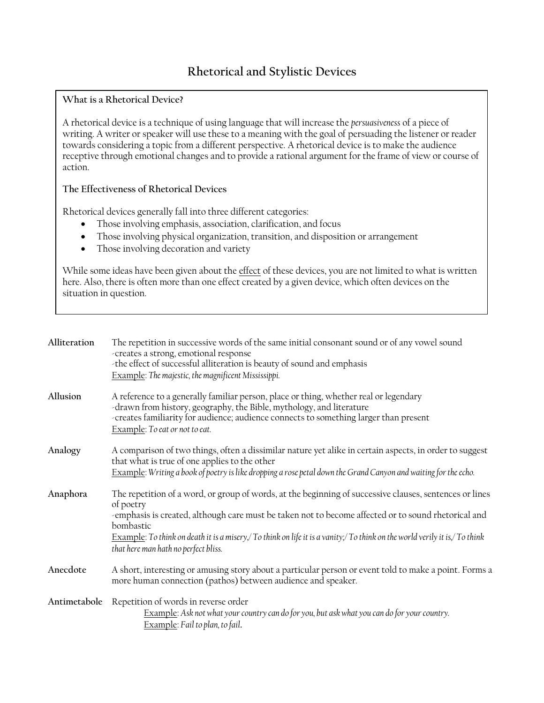## **Rhetorical and Stylistic Devices**

## **What is a Rhetorical Device?**

A rhetorical device is a technique of using language that will increase the *persuasiveness* of a piece of writing. A writer or speaker will use these to a meaning with the goal of persuading the listener or reader towards considering a topic from a different perspective. A rhetorical device is to make the audience receptive through emotional changes and to provide a rational argument for the frame of view or course of action.

## **The Effectiveness of Rhetorical Devices**

Rhetorical devices generally fall into three different categories:

- Those involving emphasis, association, clarification, and focus
- Those involving physical organization, transition, and disposition or arrangement
- Those involving decoration and variety

While some ideas have been given about the effect of these devices, you are not limited to what is written here. Also, there is often more than one effect created by a given device, which often devices on the situation in question.

| Alliteration | The repetition in successive words of the same initial consonant sound or of any vowel sound<br>-creates a strong, emotional response<br>-the effect of successful alliteration is beauty of sound and emphasis<br>Example: The majestic, the magnificent Mississippi.                                                                                                                                       |
|--------------|--------------------------------------------------------------------------------------------------------------------------------------------------------------------------------------------------------------------------------------------------------------------------------------------------------------------------------------------------------------------------------------------------------------|
| Allusion     | A reference to a generally familiar person, place or thing, whether real or legendary<br>-drawn from history, geography, the Bible, mythology, and literature<br>-creates familiarity for audience; audience connects to something larger than present<br>Example: To eat or not to eat.                                                                                                                     |
| Analogy      | A comparison of two things, often a dissimilar nature yet alike in certain aspects, in order to suggest<br>that what is true of one applies to the other<br>Example: Writing a book of poetry is like dropping a rose petal down the Grand Canyon and waiting for the echo.                                                                                                                                  |
| Anaphora     | The repetition of a word, or group of words, at the beginning of successive clauses, sentences or lines<br>of poetry<br>-emphasis is created, although care must be taken not to become affected or to sound rhetorical and<br>bombastic<br>Example: To think on death it is a misery, To think on life it is a vanity; To think on the world verily it is, To think<br>that here man hath no perfect bliss. |
| Anecdote     | A short, interesting or amusing story about a particular person or event told to make a point. Forms a<br>more human connection (pathos) between audience and speaker.                                                                                                                                                                                                                                       |
| Antimetabole | Repetition of words in reverse order<br>Example: Ask not what your country can do for you, but ask what you can do for your country.<br>Example: Fail to plan, to fail.                                                                                                                                                                                                                                      |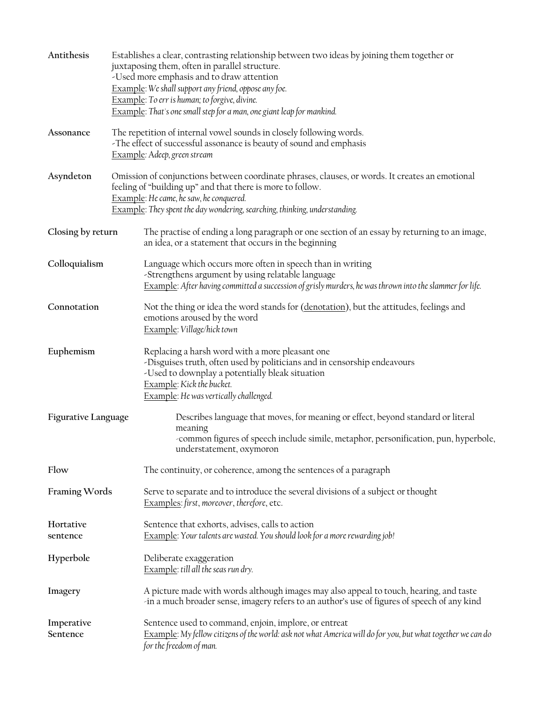| Antithesis             |                                                                                                                                                                                                                                                                                        | Establishes a clear, contrasting relationship between two ideas by joining them together or<br>juxtaposing them, often in parallel structure.<br>-Used more emphasis and to draw attention<br>Example: We shall support any friend, oppose any foe.<br>Example: To err is human; to forgive, divine.<br>Example: That's one small step for a man, one giant leap for mankind. |  |  |  |
|------------------------|----------------------------------------------------------------------------------------------------------------------------------------------------------------------------------------------------------------------------------------------------------------------------------------|-------------------------------------------------------------------------------------------------------------------------------------------------------------------------------------------------------------------------------------------------------------------------------------------------------------------------------------------------------------------------------|--|--|--|
| Assonance              |                                                                                                                                                                                                                                                                                        | The repetition of internal vowel sounds in closely following words.<br>-The effect of successful assonance is beauty of sound and emphasis<br>Example: Adeep, green stream                                                                                                                                                                                                    |  |  |  |
| Asyndeton              | Omission of conjunctions between coordinate phrases, clauses, or words. It creates an emotional<br>feeling of "building up" and that there is more to follow.<br>Example: He came, he saw, he conquered.<br>Example: They spent the day wondering, searching, thinking, understanding. |                                                                                                                                                                                                                                                                                                                                                                               |  |  |  |
| Closing by return      |                                                                                                                                                                                                                                                                                        | The practise of ending a long paragraph or one section of an essay by returning to an image,<br>an idea, or a statement that occurs in the beginning                                                                                                                                                                                                                          |  |  |  |
| Colloquialism          |                                                                                                                                                                                                                                                                                        | Language which occurs more often in speech than in writing<br>-Strengthens argument by using relatable language<br>Example: After having committed a succession of grisly murders, he was thrown into the slammer for life.                                                                                                                                                   |  |  |  |
| Connotation            |                                                                                                                                                                                                                                                                                        | Not the thing or idea the word stands for (denotation), but the attitudes, feelings and<br>emotions aroused by the word<br>Example: Village/hick town                                                                                                                                                                                                                         |  |  |  |
| Euphemism              |                                                                                                                                                                                                                                                                                        | Replacing a harsh word with a more pleasant one<br>-Disguises truth, often used by politicians and in censorship endeavours<br>-Used to downplay a potentially bleak situation<br>Example: Kick the bucket.<br>Example: He was vertically challenged.                                                                                                                         |  |  |  |
| Figurative Language    |                                                                                                                                                                                                                                                                                        | Describes language that moves, for meaning or effect, beyond standard or literal<br>meaning<br>-common figures of speech include simile, metaphor, personification, pun, hyperbole,<br>understatement, oxymoron                                                                                                                                                               |  |  |  |
| Flow                   |                                                                                                                                                                                                                                                                                        | The continuity, or coherence, among the sentences of a paragraph                                                                                                                                                                                                                                                                                                              |  |  |  |
| <b>Framing Words</b>   |                                                                                                                                                                                                                                                                                        | Serve to separate and to introduce the several divisions of a subject or thought<br>Examples: first, moreover, therefore, etc.                                                                                                                                                                                                                                                |  |  |  |
| Hortative<br>sentence  |                                                                                                                                                                                                                                                                                        | Sentence that exhorts, advises, calls to action<br>Example: Your talents are wasted. You should look for a more rewarding job!                                                                                                                                                                                                                                                |  |  |  |
| Hyperbole              |                                                                                                                                                                                                                                                                                        | Deliberate exaggeration<br>Example: till all the seas run dry.                                                                                                                                                                                                                                                                                                                |  |  |  |
| Imagery                |                                                                                                                                                                                                                                                                                        | A picture made with words although images may also appeal to touch, hearing, and taste<br>in a much broader sense, imagery refers to an author's use of figures of speech of any kind                                                                                                                                                                                         |  |  |  |
| Imperative<br>Sentence |                                                                                                                                                                                                                                                                                        | Sentence used to command, enjoin, implore, or entreat<br>Example: My fellow citizens of the world: ask not what America will do for you, but what together we can do<br>for the freedom of man.                                                                                                                                                                               |  |  |  |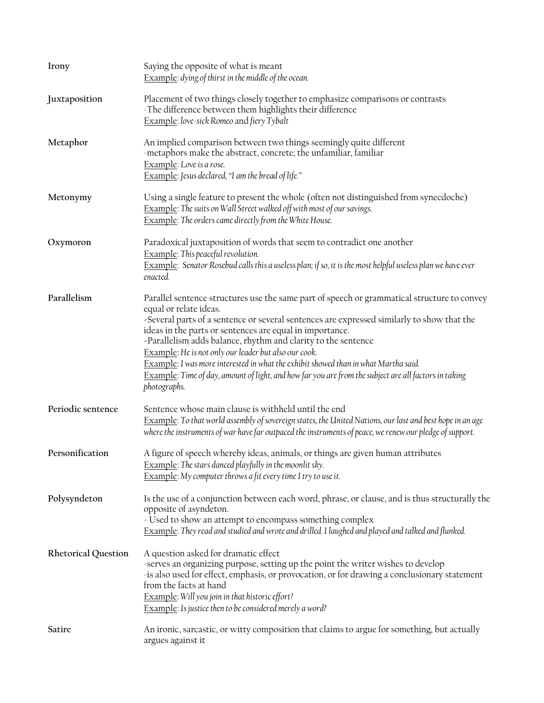| Irony                      | Saying the opposite of what is meant<br>Example: dying of thirst in the middle of the ocean.                                                                                                                                                                                                                                                                                                                                                                                                                                                                                                                              |  |  |
|----------------------------|---------------------------------------------------------------------------------------------------------------------------------------------------------------------------------------------------------------------------------------------------------------------------------------------------------------------------------------------------------------------------------------------------------------------------------------------------------------------------------------------------------------------------------------------------------------------------------------------------------------------------|--|--|
| Juxtaposition              | Placement of two things closely together to emphasize comparisons or contrasts<br>-The difference between them highlights their difference<br>Example: love-sick Romeo and fiery Tybalt                                                                                                                                                                                                                                                                                                                                                                                                                                   |  |  |
| Metaphor                   | An implied comparison between two things seemingly quite different<br>-metaphors make the abstract, concrete; the unfamiliar, familiar<br>Example: Love is a rose.<br>Example: Jesus declared, "I am the bread of life."                                                                                                                                                                                                                                                                                                                                                                                                  |  |  |
| Metonymy                   | Using a single feature to present the whole (often not distinguished from synecdoche)<br>Example: The suits on Wall Street walked off with most of our savings.<br>Example: The orders came directly from the White House.                                                                                                                                                                                                                                                                                                                                                                                                |  |  |
| Oxymoron                   | Paradoxical juxtaposition of words that seem to contradict one another<br>Example: This peaceful revolution.<br>Example: Senator Rosebud calls this a useless plan; if so, it is the most helpful useless plan we have ever<br>enacted.                                                                                                                                                                                                                                                                                                                                                                                   |  |  |
| Parallelism                | Parallel sentence structures use the same part of speech or grammatical structure to convey<br>equal or relate ideas.<br>-Several parts of a sentence or several sentences are expressed similarly to show that the<br>ideas in the parts or sentences are equal in importance.<br>-Parallelism adds balance, rhythm and clarity to the sentence<br>Example: He is not only our leader but also our cook.<br>Example: I was more interested in what the exhibit showed than in what Martha said.<br>Example: Time of day, amount of light, and how far you are from the subject are all factors in taking<br>photographs. |  |  |
| Periodic sentence          | Sentence whose main clause is withheld until the end<br>Example: To that world assembly of sovereign states, the United Nations, our last and best hope in an age<br>where the instruments of war have far outpaced the instruments of peace, we renew our pledge of support.                                                                                                                                                                                                                                                                                                                                             |  |  |
| Personification            | A figure of speech whereby ideas, animals, or things are given human attributes<br>Example: The stars danced playfully in the moonlit sky.<br>Example: My computer throws a fit every time I try to use it.                                                                                                                                                                                                                                                                                                                                                                                                               |  |  |
| Polysyndeton               | Is the use of a conjunction between each word, phrase, or clause, and is thus structurally the<br>opposite of asyndeton.<br>- Used to show an attempt to encompass something complex<br>Example: They read and studied and wrote and drilled. I laughed and played and talked and flunked.                                                                                                                                                                                                                                                                                                                                |  |  |
| <b>Rhetorical Question</b> | A question asked for dramatic effect<br>-serves an organizing purpose, setting up the point the writer wishes to develop<br>is also used for effect, emphasis, or provocation, or for drawing a conclusionary statement<br>from the facts at hand<br>Example: Will you join in that historic effort?<br><b>Example:</b> Is justice then to be considered merely a word?                                                                                                                                                                                                                                                   |  |  |
| Satire                     | An ironic, sarcastic, or witty composition that claims to argue for something, but actually<br>argues against it                                                                                                                                                                                                                                                                                                                                                                                                                                                                                                          |  |  |